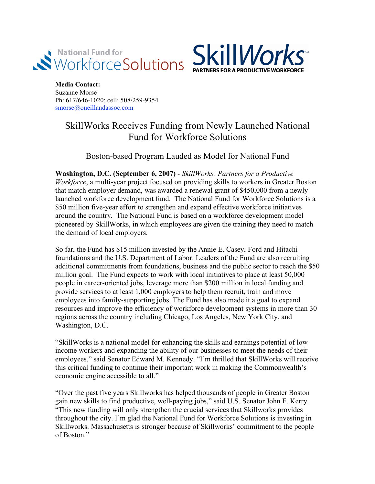



**Media Contact:** Suzanne Morse Ph: 617/646-1020; cell: 508/259-9354 smorse@oneillandassoc.com

## SkillWorks Receives Funding from Newly Launched National Fund for Workforce Solutions

## Boston-based Program Lauded as Model for National Fund

**Washington, D.C. (September 6, 2007)** *- SkillWorks: Partners for a Productive Workforce*, a multi-year project focused on providing skills to workers in Greater Boston that match employer demand, was awarded a renewal grant of \$450,000 from a newlylaunched workforce development fund. The National Fund for Workforce Solutions is a \$50 million five-year effort to strengthen and expand effective workforce initiatives around the country. The National Fund is based on a workforce development model pioneered by SkillWorks, in which employees are given the training they need to match the demand of local employers.

So far, the Fund has \$15 million invested by the Annie E. Casey, Ford and Hitachi foundations and the U.S. Department of Labor. Leaders of the Fund are also recruiting additional commitments from foundations, business and the public sector to reach the \$50 million goal. The Fund expects to work with local initiatives to place at least 50,000 people in career-oriented jobs, leverage more than \$200 million in local funding and provide services to at least 1,000 employers to help them recruit, train and move employees into family-supporting jobs. The Fund has also made it a goal to expand resources and improve the efficiency of workforce development systems in more than 30 regions across the country including Chicago, Los Angeles, New York City, and Washington, D.C.

"SkillWorks is a national model for enhancing the skills and earnings potential of lowincome workers and expanding the ability of our businesses to meet the needs of their employees," said Senator Edward M. Kennedy. "I'm thrilled that SkillWorks will receive this critical funding to continue their important work in making the Commonwealth's economic engine accessible to all."

"Over the past five years Skillworks has helped thousands of people in Greater Boston gain new skills to find productive, well-paying jobs," said U.S. Senator John F. Kerry. "This new funding will only strengthen the crucial services that Skillworks provides throughout the city. I'm glad the National Fund for Workforce Solutions is investing in Skillworks. Massachusetts is stronger because of Skillworks' commitment to the people of Boston<sup>"</sup>